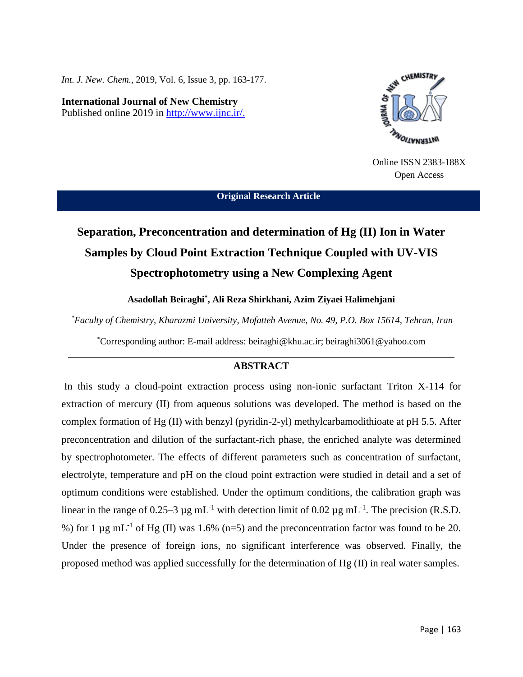*Int. J. New. Chem.*, 2019, Vol. 6, Issue 3, pp. 163-177.

**International Journal of New Chemistry** Published online 2019 in [http://www.ijnc.ir/.](http://www.ijnc.ir/)



Online ISSN 2383-188X Open Access

**Original Research Article**

# **Separation, Preconcentration and determination of Hg (II) Ion in Water Samples by Cloud Point Extraction Technique Coupled with UV-VIS Spectrophotometry using a New Complexing Agent**

**Asadollah Beiraghi\* , Ali Reza Shirkhani, Azim Ziyaei Halimehjani**

*\*Faculty of Chemistry, Kharazmi University, Mofatteh Avenue, No. 49, P.O. Box 15614, Tehran, Iran*

\*Corresponding author: E-mail address: beiraghi@khu.ac.ir; beiraghi3061@yahoo.com

# **ABSTRACT**

In this study a cloud-point extraction process using non-ionic surfactant Triton X-114 for extraction of mercury (II) from aqueous solutions was developed. The method is based on the complex formation of Hg (II) with benzyl (pyridin-2-yl) methylcarbamodithioate at pH 5.5. After preconcentration and dilution of the surfactant-rich phase, the enriched analyte was determined by spectrophotometer. The effects of different parameters such as concentration of surfactant, electrolyte, temperature and pH on the cloud point extraction were studied in detail and a set of optimum conditions were established. Under the optimum conditions, the calibration graph was linear in the range of 0.25–3  $\mu$ g mL<sup>-1</sup> with detection limit of 0.02  $\mu$ g mL<sup>-1</sup>. The precision (R.S.D. %) for 1  $\mu$ g mL<sup>-1</sup> of Hg (II) was 1.6% (n=5) and the preconcentration factor was found to be 20. Under the presence of foreign ions, no significant interference was observed. Finally, the proposed method was applied successfully for the determination of Hg (II) in real water samples.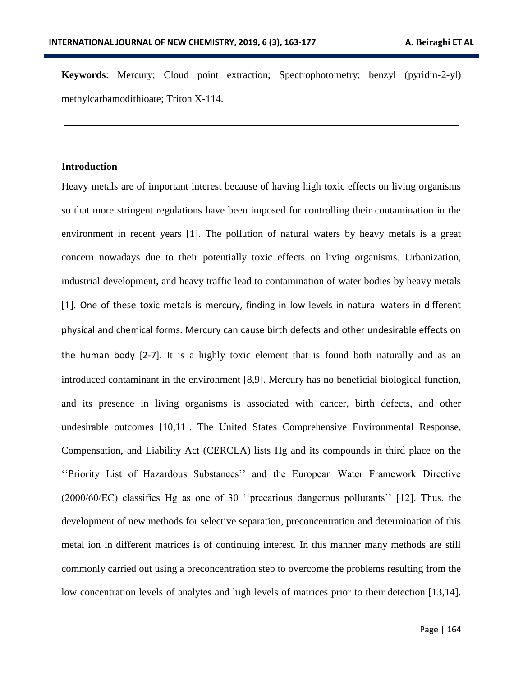**Keywords**: Mercury; Cloud point extraction; Spectrophotometry; benzyl (pyridin-2-yl) methylcarbamodithioate; Triton X-114.

## **Introduction**

Heavy metals are of important interest because of having high toxic effects on living organisms so that more stringent regulations have been imposed for controlling their contamination in the environment in recent years [1]. The pollution of natural waters by heavy metals is a great concern nowadays due to their potentially toxic effects on living organisms. Urbanization, industrial development, and heavy traffic lead to contamination of water bodies by heavy metals [1]. One of these toxic metals is mercury, finding in low levels in natural waters in different physical and chemical forms. Mercury can cause birth defects and other undesirable effects on the human body [2-7]. It is a highly toxic element that is found both naturally and as an introduced contaminant in the environment [8,9]. Mercury has no beneficial biological function, and its presence in living organisms is associated with cancer, birth defects, and other undesirable outcomes [10,11]. The United States Comprehensive Environmental Response, Compensation, and Liability Act (CERCLA) lists Hg and its compounds in third place on the ''Priority List of Hazardous Substances'' and the European Water Framework Directive (2000/60/EC) classifies Hg as one of 30 ''precarious dangerous pollutants'' [12]. Thus, the development of new methods for selective separation, preconcentration and determination of this metal ion in different matrices is of continuing interest. In this manner many methods are still commonly carried out using a preconcentration step to overcome the problems resulting from the low concentration levels of analytes and high levels of matrices prior to their detection [13,14].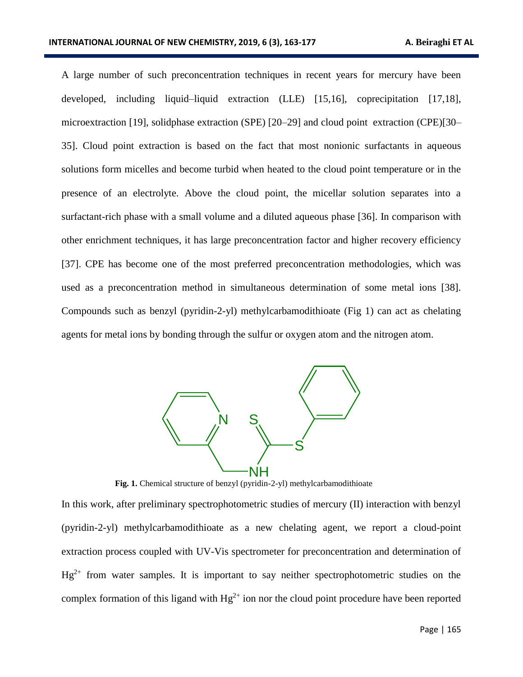A large number of such preconcentration techniques in recent years for mercury have been developed, including liquid–liquid extraction (LLE) [15,16], coprecipitation [17,18], microextraction [19], solidphase extraction (SPE) [20–29] and cloud point extraction (CPE)[30– 35]. Cloud point extraction is based on the fact that most nonionic surfactants in aqueous solutions form micelles and become turbid when heated to the cloud point temperature or in the presence of an electrolyte. Above the cloud point, the micellar solution separates into a surfactant-rich phase with a small volume and a diluted aqueous phase [36]. In comparison with other enrichment techniques, it has large preconcentration factor and higher recovery efficiency [37]. CPE has become one of the most preferred preconcentration methodologies, which was used as a preconcentration method in simultaneous determination of some metal ions [38]. Compounds such as benzyl (pyridin-2-yl) methylcarbamodithioate (Fig 1) can act as chelating agents for metal ions by bonding through the sulfur or oxygen atom and the nitrogen atom.



**Fig. 1.** Chemical structure of benzyl (pyridin-2-yl) methylcarbamodithioate

In this work, after preliminary spectrophotometric studies of mercury (II) interaction with benzyl (pyridin-2-yl) methylcarbamodithioate as a new chelating agent, we report a cloud-point extraction process coupled with UV-Vis spectrometer for preconcentration and determination of  $Hg^{2+}$  from water samples. It is important to say neither spectrophotometric studies on the complex formation of this ligand with  $Hg^{2+}$  ion nor the cloud point procedure have been reported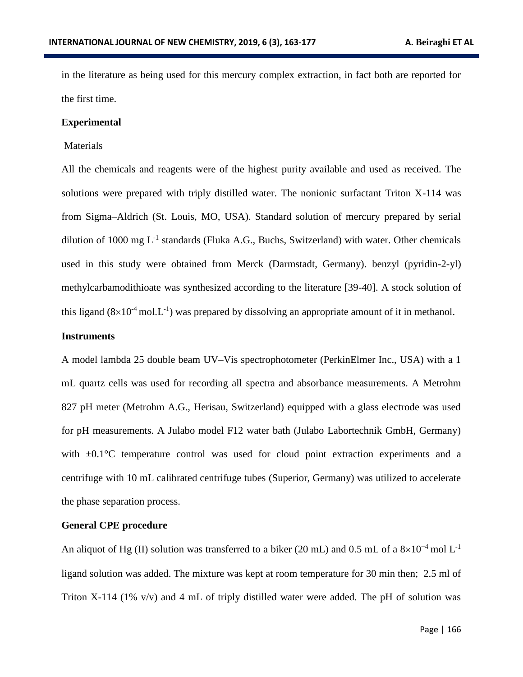in the literature as being used for this mercury complex extraction, in fact both are reported for the first time.

## **Experimental**

## Materials

All the chemicals and reagents were of the highest purity available and used as received. The solutions were prepared with triply distilled water. The nonionic surfactant Triton X-114 was from Sigma–Aldrich (St. Louis, MO, USA). Standard solution of mercury prepared by serial dilution of 1000 mg  $L^{-1}$  standards (Fluka A.G., Buchs, Switzerland) with water. Other chemicals used in this study were obtained from Merck (Darmstadt, Germany). benzyl (pyridin-2-yl) methylcarbamodithioate was synthesized according to the literature [39-40]. A stock solution of this ligand  $(8\times10^{-4} \text{ mol} \cdot \text{L}^{-1})$  was prepared by dissolving an appropriate amount of it in methanol.

## **Instruments**

A model lambda 25 double beam UV–Vis spectrophotometer (PerkinElmer Inc., USA) with a 1 mL quartz cells was used for recording all spectra and absorbance measurements. A Metrohm 827 pH meter (Metrohm A.G., Herisau, Switzerland) equipped with a glass electrode was used for pH measurements. A Julabo model F12 water bath (Julabo Labortechnik GmbH, Germany) with  $\pm 0.1^{\circ}$ C temperature control was used for cloud point extraction experiments and a centrifuge with 10 mL calibrated centrifuge tubes (Superior, Germany) was utilized to accelerate the phase separation process.

## **General CPE procedure**

An aliquot of Hg (II) solution was transferred to a biker (20 mL) and 0.5 mL of a  $8\times10^{-4}$  mol L<sup>-1</sup> ligand solution was added. The mixture was kept at room temperature for 30 min then; 2.5 ml of Triton X-114 (1% v/v) and 4 mL of triply distilled water were added. The pH of solution was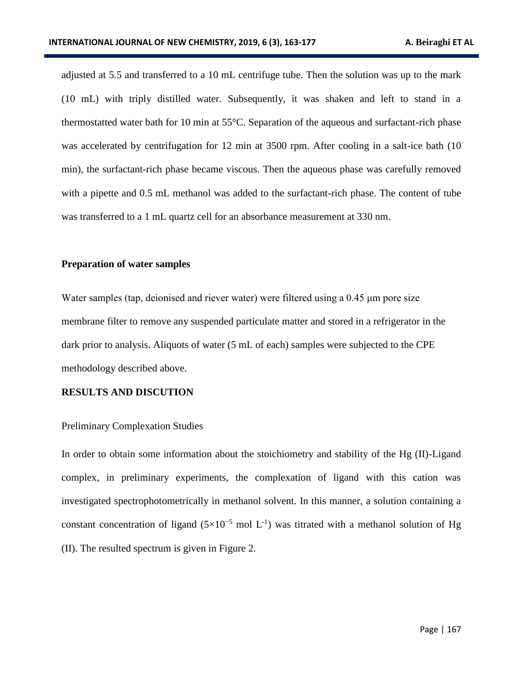adjusted at 5.5 and transferred to a 10 mL centrifuge tube. Then the solution was up to the mark (10 mL) with triply distilled water. Subsequently, it was shaken and left to stand in a thermostatted water bath for 10 min at 55°C. Separation of the aqueous and surfactant-rich phase was accelerated by centrifugation for 12 min at 3500 rpm. After cooling in a salt-ice bath (10) min), the surfactant-rich phase became viscous. Then the aqueous phase was carefully removed with a pipette and 0.5 mL methanol was added to the surfactant-rich phase. The content of tube was transferred to a 1 mL quartz cell for an absorbance measurement at 330 nm.

#### **Preparation of water samples**

Water samples (tap, deionised and riever water) were filtered using a 0.45 μm pore size membrane filter to remove any suspended particulate matter and stored in a refrigerator in the dark prior to analysis. Aliquots of water (5 mL of each) samples were subjected to the CPE methodology described above.

## **RESULTS AND DISCUTION**

#### Preliminary Complexation Studies

In order to obtain some information about the stoichiometry and stability of the Hg (II)-Ligand complex, in preliminary experiments, the complexation of ligand with this cation was investigated spectrophotometrically in methanol solvent. In this manner, a solution containing a constant concentration of ligand  $(5\times10^{-5}$  mol L<sup>-1</sup>) was titrated with a methanol solution of Hg (II). The resulted spectrum is given in Figure 2.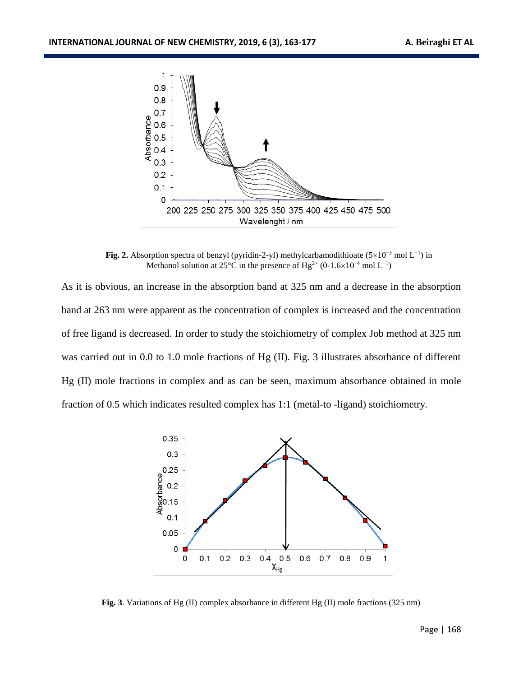

**Fig. 2.** Absorption spectra of benzyl (pyridin-2-yl) methylcarbamodithioate  $(5\times10^{-5}$  mol L<sup>-1</sup>) in Methanol solution at 25°C in the presence of Hg<sup>2+</sup> (0-1.6×10<sup>-4</sup> mol L<sup>-1</sup>)

As it is obvious, an increase in the absorption band at 325 nm and a decrease in the absorption band at 263 nm were apparent as the concentration of complex is increased and the concentration of free ligand is decreased. In order to study the stoichiometry of complex Job method at 325 nm was carried out in 0.0 to 1.0 mole fractions of Hg (II). Fig. 3 illustrates absorbance of different Hg (II) mole fractions in complex and as can be seen, maximum absorbance obtained in mole fraction of 0.5 which indicates resulted complex has 1:1 (metal-to -ligand) stoichiometry.



**Fig. 3**. Variations of Hg (II) complex absorbance in different Hg (II) mole fractions (325 nm)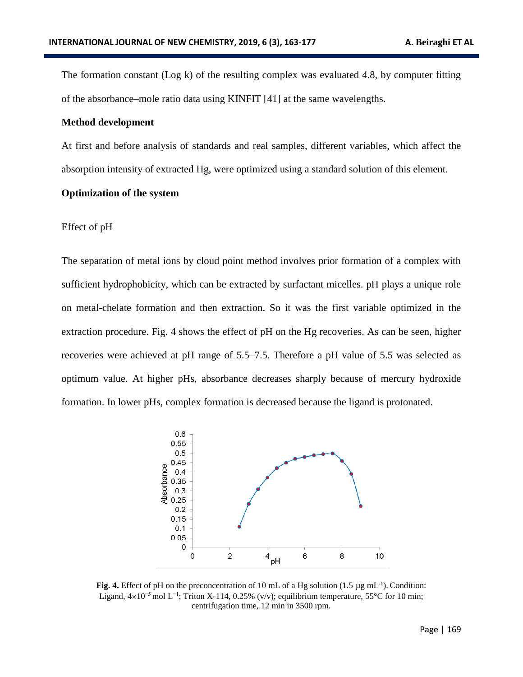The formation constant (Log k) of the resulting complex was evaluated 4.8, by computer fitting of the absorbance–mole ratio data using KINFIT [41] at the same wavelengths.

#### **Method development**

At first and before analysis of standards and real samples, different variables, which affect the absorption intensity of extracted Hg, were optimized using a standard solution of this element.

#### **Optimization of the system**

#### Effect of pH

The separation of metal ions by cloud point method involves prior formation of a complex with sufficient hydrophobicity, which can be extracted by surfactant micelles. pH plays a unique role on metal-chelate formation and then extraction. So it was the first variable optimized in the extraction procedure. Fig. 4 shows the effect of pH on the Hg recoveries. As can be seen, higher recoveries were achieved at pH range of 5.5–7.5. Therefore a pH value of 5.5 was selected as optimum value. At higher pHs, absorbance decreases sharply because of mercury hydroxide formation. In lower pHs, complex formation is decreased because the ligand is protonated.



**Fig. 4.** Effect of pH on the preconcentration of 10 mL of a Hg solution  $(1.5 \mu g \text{ mL}^{-1})$ . Condition: Ligand,  $4\times10^{-5}$  mol L<sup>-1</sup>; Triton X-114, 0.25% (v/v); equilibrium temperature, 55°C for 10 min; centrifugation time, 12 min in 3500 rpm.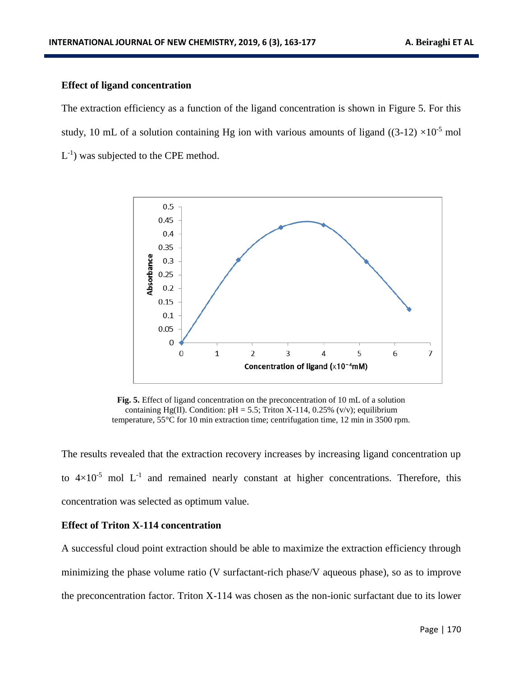# **Effect of ligand concentration**

The extraction efficiency as a function of the ligand concentration is shown in Figure 5. For this study, 10 mL of a solution containing Hg ion with various amounts of ligand ((3-12)  $\times$ 10<sup>-5</sup> mol  $L^{-1}$ ) was subjected to the CPE method.



**Fig. 5.** Effect of ligand concentration on the preconcentration of 10 mL of a solution containing Hg(II). Condition:  $pH = 5.5$ ; Triton X-114, 0.25% (v/v); equilibrium temperature, 55°C for 10 min extraction time; centrifugation time, 12 min in 3500 rpm.

The results revealed that the extraction recovery increases by increasing ligand concentration up to  $4\times10^{-5}$  mol L<sup>-1</sup> and remained nearly constant at higher concentrations. Therefore, this concentration was selected as optimum value.

#### **Effect of Triton X-114 concentration**

A successful cloud point extraction should be able to maximize the extraction efficiency through minimizing the phase volume ratio (V surfactant-rich phase/V aqueous phase), so as to improve the preconcentration factor. Triton X-114 was chosen as the non-ionic surfactant due to its lower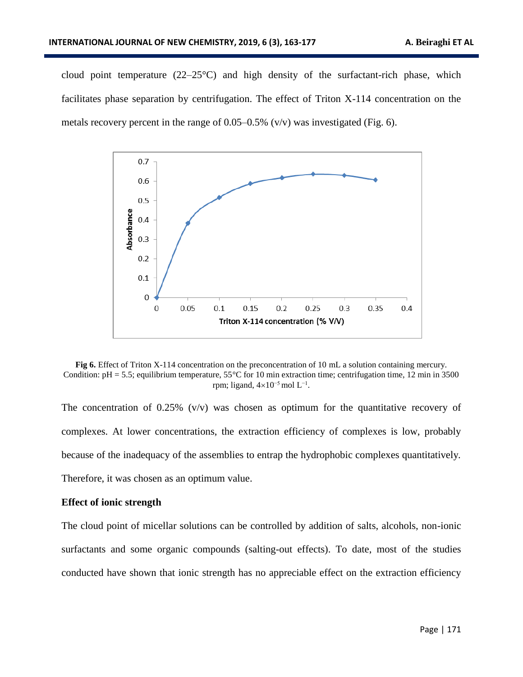cloud point temperature  $(22-25^{\circ}C)$  and high density of the surfactant-rich phase, which facilitates phase separation by centrifugation. The effect of Triton X-114 concentration on the metals recovery percent in the range of  $0.05{\text -}0.5\%$  (v/v) was investigated (Fig. 6).



**Fig 6.** Effect of Triton X-114 concentration on the preconcentration of 10 mL a solution containing mercury. Condition:  $pH = 5.5$ ; equilibrium temperature,  $55^{\circ}$ C for 10 min extraction time; centrifugation time, 12 min in 3500 rpm; ligand,  $4\times10^{-5}$  mol L<sup>-1</sup>.

The concentration of  $0.25\%$  (v/v) was chosen as optimum for the quantitative recovery of complexes. At lower concentrations, the extraction efficiency of complexes is low, probably because of the inadequacy of the assemblies to entrap the hydrophobic complexes quantitatively. Therefore, it was chosen as an optimum value.

#### **Effect of ionic strength**

The cloud point of micellar solutions can be controlled by addition of salts, alcohols, non-ionic surfactants and some organic compounds (salting-out effects). To date, most of the studies conducted have shown that ionic strength has no appreciable effect on the extraction efficiency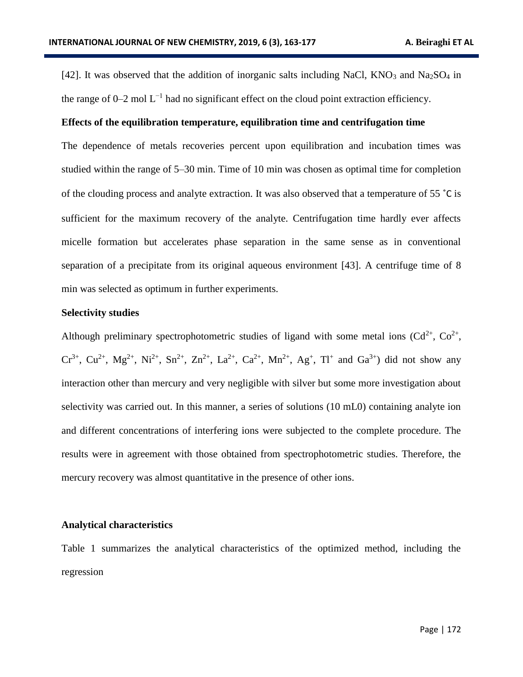[42]. It was observed that the addition of inorganic salts including NaCl,  $KNO_3$  and Na<sub>2</sub>SO<sub>4</sub> in the range of  $0-2$  mol  $L^{-1}$  had no significant effect on the cloud point extraction efficiency.

## **Effects of the equilibration temperature, equilibration time and centrifugation time**

The dependence of metals recoveries percent upon equilibration and incubation times was studied within the range of 5–30 min. Time of 10 min was chosen as optimal time for completion of the clouding process and analyte extraction. It was also observed that a temperature of 55 ˚C is sufficient for the maximum recovery of the analyte. Centrifugation time hardly ever affects micelle formation but accelerates phase separation in the same sense as in conventional separation of a precipitate from its original aqueous environment [43]. A centrifuge time of 8 min was selected as optimum in further experiments.

## **Selectivity studies**

Although preliminary spectrophotometric studies of ligand with some metal ions  $(Cd^{2+}, Co^{2+},$  $Cr^{3+}$ ,  $Cu^{2+}$ ,  $Mg^{2+}$ ,  $Ni^{2+}$ ,  $Sn^{2+}$ ,  $Zn^{2+}$ ,  $La^{2+}$ ,  $Ca^{2+}$ ,  $Mn^{2+}$ ,  $Ag^{+}$ ,  $Tl^{+}$  and  $Ga^{3+}$ ) did not show any interaction other than mercury and very negligible with silver but some more investigation about selectivity was carried out. In this manner, a series of solutions (10 mL0) containing analyte ion and different concentrations of interfering ions were subjected to the complete procedure. The results were in agreement with those obtained from spectrophotometric studies. Therefore, the mercury recovery was almost quantitative in the presence of other ions.

#### **Analytical characteristics**

Table 1 summarizes the analytical characteristics of the optimized method, including the regression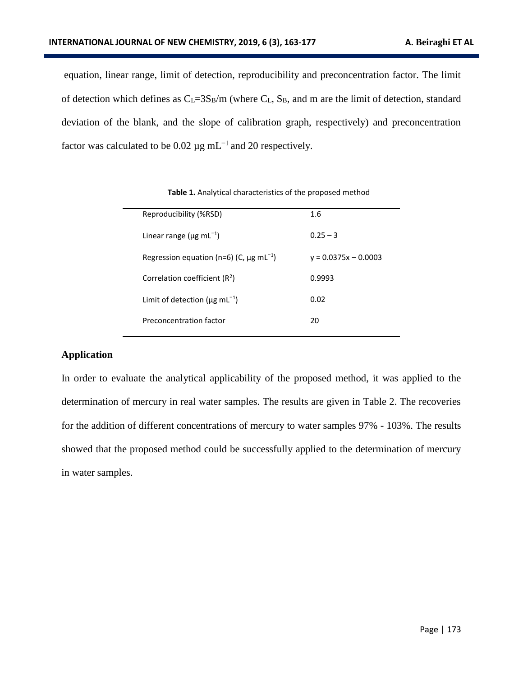equation, linear range, limit of detection, reproducibility and preconcentration factor. The limit of detection which defines as  $C_L=3S_B/m$  (where  $C_L$ ,  $S_B$ , and m are the limit of detection, standard deviation of the blank, and the slope of calibration graph, respectively) and preconcentration factor was calculated to be 0.02  $\mu$ g mL<sup>-1</sup> and 20 respectively.

| Reproducibility (%RSD)                                   | 1.6                    |
|----------------------------------------------------------|------------------------|
| Linear range ( $\mu$ g mL <sup>-1</sup> )                | $0.25 - 3$             |
| Regression equation (n=6) (C, $\mu$ g mL <sup>-1</sup> ) | $v = 0.0375x - 0.0003$ |
| Correlation coefficient $(R2)$                           | 0.9993                 |
| Limit of detection ( $\mu$ g mL <sup>-1</sup> )          | 0.02                   |
| Preconcentration factor                                  | 20                     |
|                                                          |                        |

**Table 1.** Analytical characteristics of the proposed method

# **Application**

In order to evaluate the analytical applicability of the proposed method, it was applied to the determination of mercury in real water samples. The results are given in Table 2. The recoveries for the addition of different concentrations of mercury to water samples 97% - 103%. The results showed that the proposed method could be successfully applied to the determination of mercury in water samples.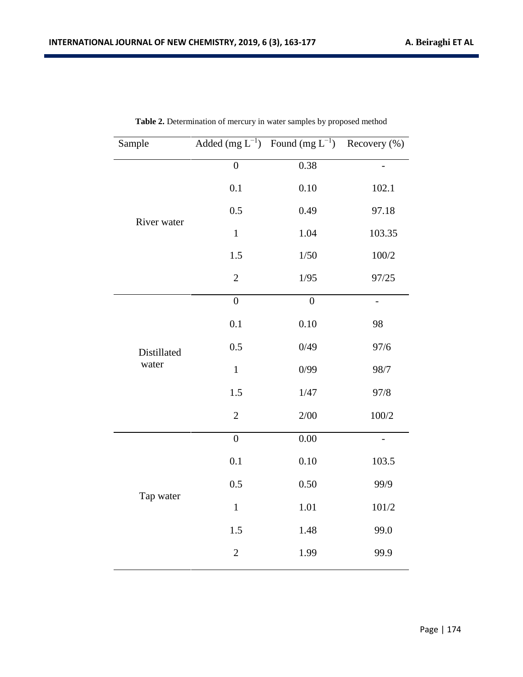| Sample               |                  | Added (mg $L^{-1}$ ) Found (mg $L^{-1}$ ) Recovery (%) |                          |
|----------------------|------------------|--------------------------------------------------------|--------------------------|
|                      | $\boldsymbol{0}$ | 0.38                                                   | $\overline{\phantom{0}}$ |
|                      | 0.1              | 0.10                                                   | 102.1                    |
| River water          | 0.5              | 0.49                                                   | 97.18                    |
|                      | $\mathbf{1}$     | 1.04                                                   | 103.35                   |
|                      | 1.5              | $1/50$                                                 | 100/2                    |
|                      | $\overline{2}$   | 1/95                                                   | 97/25                    |
|                      | $\overline{0}$   | $\overline{0}$                                         | $\overline{a}$           |
|                      | 0.1              | 0.10                                                   | 98                       |
| Distillated<br>water | 0.5              | 0/49                                                   | 97/6                     |
|                      | $\mathbf{1}$     | 0/99                                                   | 98/7                     |
|                      | 1.5              | 1/47                                                   | 97/8                     |
|                      | $\mathbf{2}$     | 2/00                                                   | 100/2                    |
|                      | $\overline{0}$   | 0.00                                                   | $\overline{\phantom{0}}$ |
|                      | 0.1              | 0.10                                                   | 103.5                    |
|                      | 0.5              | 0.50                                                   | 99/9                     |
| Tap water            | $\mathbf{1}$     | 1.01                                                   | 101/2                    |
|                      | 1.5              | 1.48                                                   | 99.0                     |
|                      | $\overline{2}$   | 1.99                                                   | 99.9                     |

**Table 2.** Determination of mercury in water samples by proposed method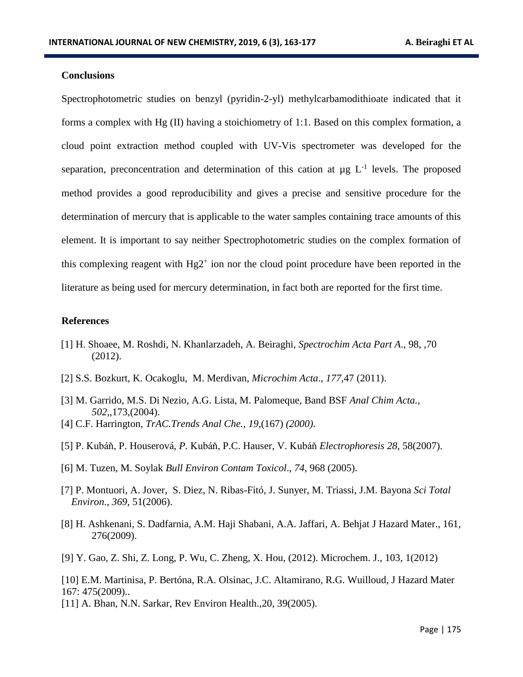# **Conclusions**

Spectrophotometric studies on benzyl (pyridin-2-yl) methylcarbamodithioate indicated that it forms a complex with Hg (II) having a stoichiometry of 1:1. Based on this complex formation, a cloud point extraction method coupled with UV-Vis spectrometer was developed for the separation, preconcentration and determination of this cation at  $\mu$ g L<sup>-1</sup> levels. The proposed method provides a good reproducibility and gives a precise and sensitive procedure for the determination of mercury that is applicable to the water samples containing trace amounts of this element. It is important to say neither Spectrophotometric studies on the complex formation of this complexing reagent with  $Hg2^+$  ion nor the cloud point procedure have been reported in the literature as being used for mercury determination, in fact both are reported for the first time.

#### **References**

- [1] H. Shoaee, M. Roshdi, N. Khanlarzadeh, A. Beiraghi, *Spectrochim Acta Part A*., 98, ,70 (2012).
- [2] S.S. Bozkurt, K. Ocakoglu, M. Merdivan, *Microchim Acta*., *177,*47 (2011).
- [3] M. Garrido, M.S. Di Nezio, A.G. Lista, M. Palomeque, Band BSF *Anal Chim Acta., 502*,,173,(2004).
- [4] C.F. Harrington, *TrAC.Trends Anal Che., 19*,(167) *(2000)*.
- [5] P. Kubáň, P. Houserová, *P.* Kubáň, P.C. Hauser, V. Kubáň *Electrophoresis 28*, 58(2007).
- [6] M. Tuzen, M. Soylak *Bull Environ Contam Toxicol*., *74*, 968 (2005).
- [7] P. Montuori, A. Jover, S. Diez, N. Ribas-Fitó, J. Sunyer, M. Triassi, J.M. Bayona *Sci Total Environ*., *369*, 51(2006).
- [8] H. Ashkenani, S. Dadfarnia, A.M. Haji Shabani, A.A. Jaffari, A. Behjat J Hazard Mater., 161, 276(2009).
- [9] Y. Gao, Z. Shi, Z. Long, P. Wu, C. Zheng, X. Hou, (2012). Microchem. J., 103, 1(2012)

[10] E.M. Martinisa, P. Bertóna, R.A. Olsinac, J.C. Altamirano, R.G. Wuilloud, J Hazard Mater 167: 475(2009)..

[11] A. Bhan, N.N. Sarkar, Rev Environ Health.,20, 39(2005).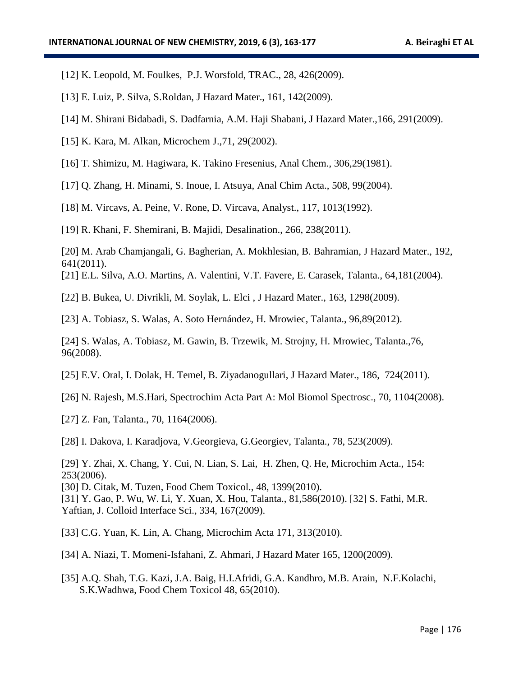- [12] K. Leopold, M. Foulkes, P.J. Worsfold, TRAC., 28, 426(2009).
- [13] E. Luiz, P. Silva, S.Roldan, J Hazard Mater., 161, 142(2009).
- [14] M. Shirani Bidabadi, S. Dadfarnia, A.M. Haji Shabani, J Hazard Mater.,166, 291(2009).
- [15] K. Kara, M. Alkan, Microchem J.,71, 29(2002).
- [16] T. Shimizu, M. Hagiwara, K. Takino Fresenius, Anal Chem., 306,29(1981).
- [17] Q. Zhang, H. Minami, S. Inoue, I. Atsuya, Anal Chim Acta., 508, 99(2004).
- [18] M. Vircavs, A. Peine, V. Rone, D. Vircava, Analyst., 117, 1013(1992).
- [19] R. Khani, F. Shemirani, B. Majidi, Desalination., 266, 238(2011).

[20] M. Arab Chamjangali, G. Bagherian, A. Mokhlesian, B. Bahramian, J Hazard Mater., 192, 641(2011).

- [21] E.L. Silva, A.O. Martins, A. Valentini, V.T. Favere, E. Carasek, Talanta., 64,181(2004).
- [22] B. Bukea, U. Divrikli, M. Soylak, L. Elci , J Hazard Mater., 163, 1298(2009).

[23] A. Tobiasz, S. Walas, A. Soto Hernández, H. Mrowiec, Talanta., 96,89(2012).

[24] S. Walas, A. Tobiasz, M. Gawin, B. Trzewik, M. Strojny, H. Mrowiec, Talanta.,76, 96(2008).

- [25] E.V. Oral, I. Dolak, H. Temel, B. Ziyadanogullari, J Hazard Mater., 186, 724(2011).
- [26] N. Rajesh, M.S.Hari, Spectrochim Acta Part A: Mol Biomol Spectrosc., 70, 1104(2008).
- [27] Z. Fan, Talanta., 70, 1164(2006).
- [28] I. Dakova, I. Karadjova, V.Georgieva, G.Georgiev, Talanta., 78, 523(2009).
- [29] Y. Zhai, X. Chang, Y. Cui, N. Lian, S. Lai, H. Zhen, Q. He, Microchim Acta., 154: 253(2006).
- [30] D. Citak, M. Tuzen, Food Chem Toxicol., 48, 1399(2010).

[31] Y. Gao, P. Wu, W. Li, Y. Xuan, X. Hou, Talanta., 81,586(2010). [32] S. Fathi, M.R. Yaftian, J. Colloid Interface Sci., 334, 167(2009).

- [33] C.G. Yuan, K. Lin, A. Chang, Microchim Acta 171, 313(2010).
- [34] A. Niazi, T. Momeni-Isfahani, Z. Ahmari, J Hazard Mater 165, 1200(2009).
- [35] A.Q. Shah, T.G. Kazi, J.A. Baig, H.I.Afridi, G.A. Kandhro, M.B. Arain, N.F.Kolachi, S.K.Wadhwa, Food Chem Toxicol 48, 65(2010).